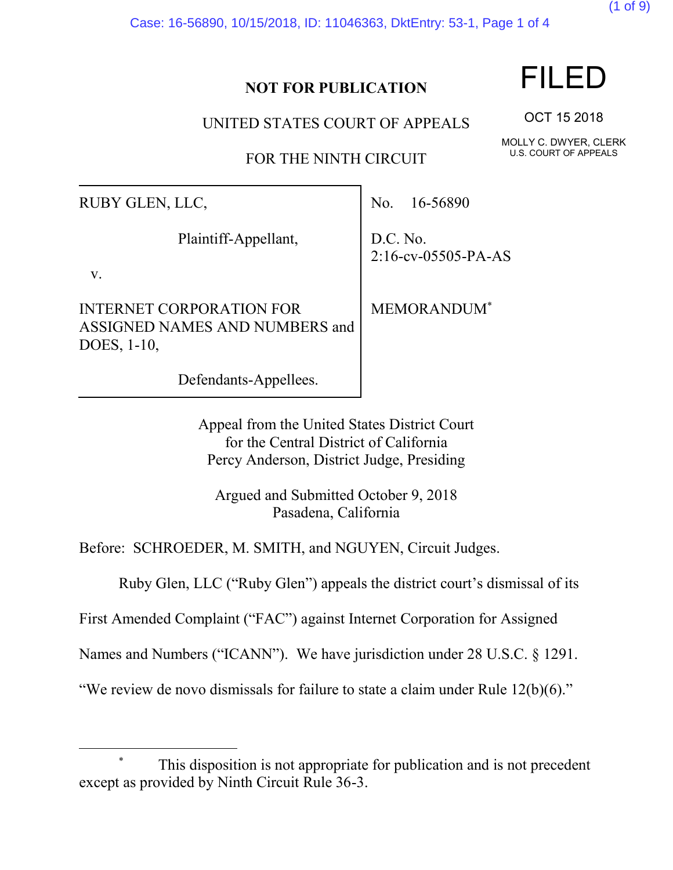Case: 16-56890, 10/15/2018, ID: 11046363, DktEntry: 53-1, Page 1 of 4

#### **NOT FOR PUBLICATION**

UNITED STATES COURT OF APPEALS

FOR THE NINTH CIRCUIT

RUBY GLEN, LLC,

Plaintiff-Appellant,

v.

 $\overline{a}$ 

INTERNET CORPORATION FOR ASSIGNED NAMES AND NUMBERS and DOES, 1-10,

Defendants-Appellees.

No. 16-56890

D.C. No. 2:16-cv-05505-PA-AS

MEMORANDUM\*

Appeal from the United States District Court for the Central District of California Percy Anderson, District Judge, Presiding

Argued and Submitted October 9, 2018 Pasadena, California

Before: SCHROEDER, M. SMITH, and NGUYEN, Circuit Judges.

Ruby Glen, LLC ("Ruby Glen") appeals the district court's dismissal of its

First Amended Complaint ("FAC") against Internet Corporation for Assigned

Names and Numbers ("ICANN"). We have jurisdiction under 28 U.S.C. § 1291.

"We review de novo dismissals for failure to state a claim under Rule 12(b)(6)."

# FILED

(1 of 9)

OCT 15 2018

MOLLY C. DWYER, CLERK U.S. COURT OF APPEALS

This disposition is not appropriate for publication and is not precedent except as provided by Ninth Circuit Rule 36-3.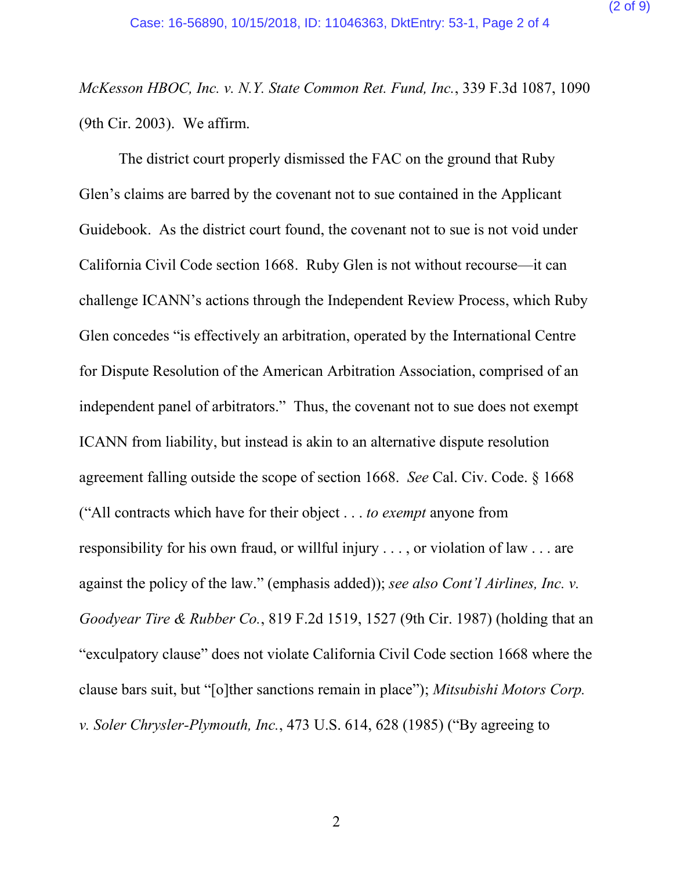*McKesson HBOC, Inc. v. N.Y. State Common Ret. Fund, Inc.*, 339 F.3d 1087, 1090 (9th Cir. 2003). We affirm.

The district court properly dismissed the FAC on the ground that Ruby Glen's claims are barred by the covenant not to sue contained in the Applicant Guidebook. As the district court found, the covenant not to sue is not void under California Civil Code section 1668. Ruby Glen is not without recourse—it can challenge ICANN's actions through the Independent Review Process, which Ruby Glen concedes "is effectively an arbitration, operated by the International Centre for Dispute Resolution of the American Arbitration Association, comprised of an independent panel of arbitrators." Thus, the covenant not to sue does not exempt ICANN from liability, but instead is akin to an alternative dispute resolution agreement falling outside the scope of section 1668. *See* Cal. Civ. Code. § 1668 ("All contracts which have for their object . . . *to exempt* anyone from responsibility for his own fraud, or willful injury . . . , or violation of law . . . are against the policy of the law." (emphasis added)); *see also Cont'l Airlines, Inc. v. Goodyear Tire & Rubber Co.*, 819 F.2d 1519, 1527 (9th Cir. 1987) (holding that an "exculpatory clause" does not violate California Civil Code section 1668 where the clause bars suit, but "[o]ther sanctions remain in place"); *Mitsubishi Motors Corp. v. Soler Chrysler-Plymouth, Inc.*, 473 U.S. 614, 628 (1985) ("By agreeing to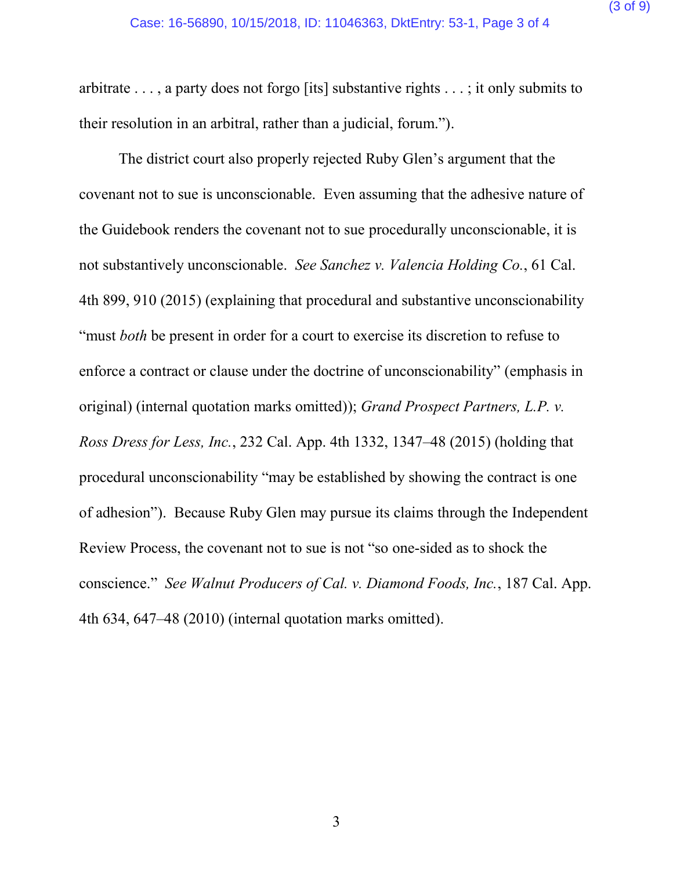arbitrate . . . , a party does not forgo [its] substantive rights . . . ; it only submits to their resolution in an arbitral, rather than a judicial, forum.").

The district court also properly rejected Ruby Glen's argument that the covenant not to sue is unconscionable. Even assuming that the adhesive nature of the Guidebook renders the covenant not to sue procedurally unconscionable, it is not substantively unconscionable. *See Sanchez v. Valencia Holding Co.*, 61 Cal. 4th 899, 910 (2015) (explaining that procedural and substantive unconscionability "must *both* be present in order for a court to exercise its discretion to refuse to enforce a contract or clause under the doctrine of unconscionability" (emphasis in original) (internal quotation marks omitted)); *Grand Prospect Partners, L.P. v. Ross Dress for Less, Inc.*, 232 Cal. App. 4th 1332, 1347–48 (2015) (holding that procedural unconscionability "may be established by showing the contract is one of adhesion"). Because Ruby Glen may pursue its claims through the Independent Review Process, the covenant not to sue is not "so one-sided as to shock the conscience." *See Walnut Producers of Cal. v. Diamond Foods, Inc.*, 187 Cal. App. 4th 634, 647–48 (2010) (internal quotation marks omitted).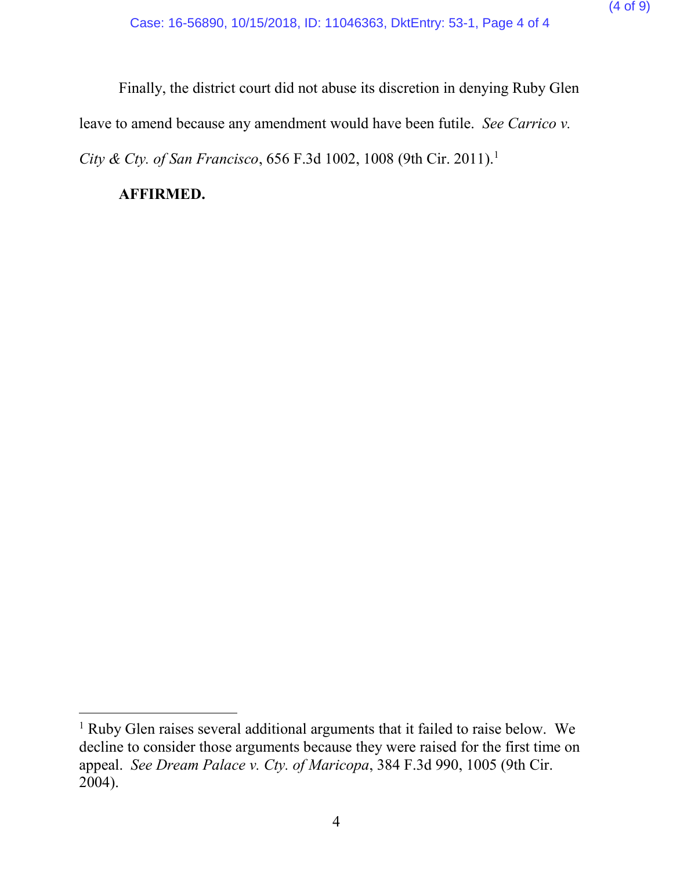Finally, the district court did not abuse its discretion in denying Ruby Glen leave to amend because any amendment would have been futile. *See Carrico v. City & Cty. of San Francisco*, 656 F.3d 1002, 1008 (9th Cir. 2011).<sup>1</sup>

#### **AFFIRMED.**

 $\overline{a}$ 

<sup>&</sup>lt;sup>1</sup> Ruby Glen raises several additional arguments that it failed to raise below. We decline to consider those arguments because they were raised for the first time on appeal. *See Dream Palace v. Cty. of Maricopa*, 384 F.3d 990, 1005 (9th Cir. 2004).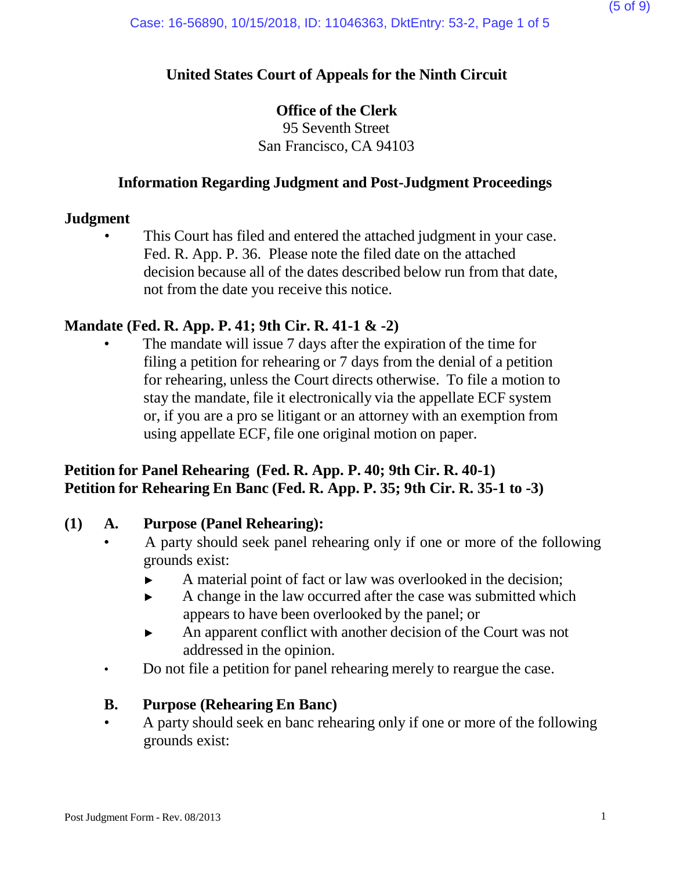## **United States Court of Appeals for the Ninth Circuit**

#### **Office of the Clerk**

95 Seventh Street San Francisco, CA 94103

#### **Information Regarding Judgment and Post-Judgment Proceedings**

#### **Judgment**

This Court has filed and entered the attached judgment in your case. Fed. R. App. P. 36. Please note the filed date on the attached decision because all of the dates described below run from that date, not from the date you receive this notice.

#### **Mandate (Fed. R. App. P. 41; 9th Cir. R. 41-1 & -2)**

The mandate will issue 7 days after the expiration of the time for filing a petition for rehearing or 7 days from the denial of a petition for rehearing, unless the Court directs otherwise. To file a motion to stay the mandate, file it electronically via the appellate ECF system or, if you are a pro se litigant or an attorney with an exemption from using appellate ECF, file one original motion on paper.

#### **Petition for Panel Rehearing (Fed. R. App. P. 40; 9th Cir. R. 40-1) Petition for Rehearing En Banc (Fed. R. App. P. 35; 9th Cir. R. 35-1 to -3)**

#### **(1) A. Purpose (Panel Rehearing):**

- A party should seek panel rehearing only if one or more of the following grounds exist:
	- ► A material point of fact or law was overlooked in the decision;
	- ► A change in the law occurred after the case was submitted which appears to have been overlooked by the panel; or
	- ► An apparent conflict with another decision of the Court was not addressed in the opinion.
- Do not file a petition for panel rehearing merely to reargue the case.

#### **B. Purpose (Rehearing En Banc)**

• A party should seek en banc rehearing only if one or more of the following grounds exist: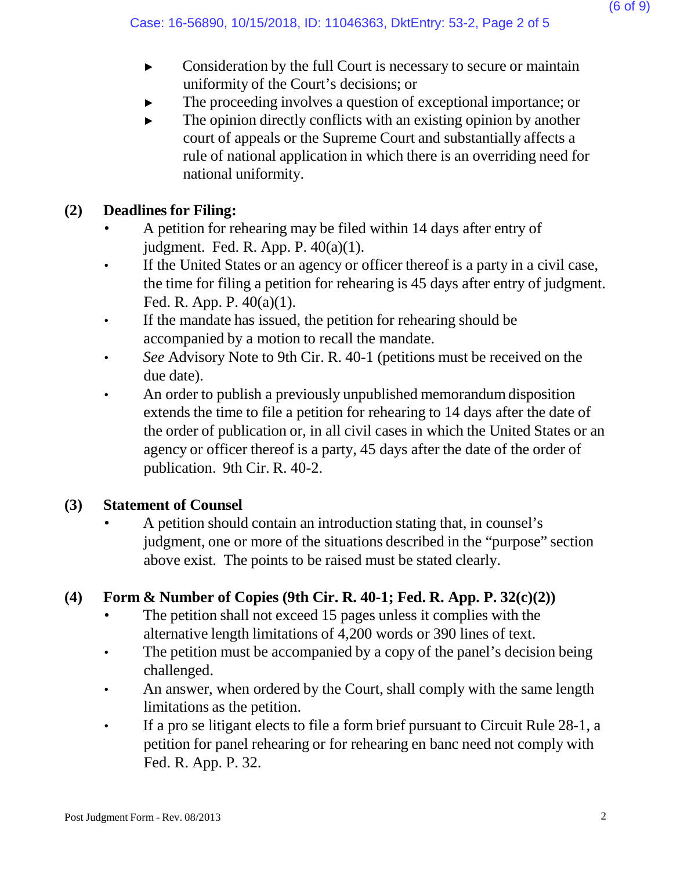- ► Consideration by the full Court is necessary to secure or maintain uniformity of the Court's decisions; or
- The proceeding involves a question of exceptional importance; or
- $\blacktriangleright$  The opinion directly conflicts with an existing opinion by another court of appeals or the Supreme Court and substantially affects a rule of national application in which there is an overriding need for national uniformity.

## **(2) Deadlines for Filing:**

- A petition for rehearing may be filed within 14 days after entry of judgment. Fed. R. App. P. 40(a)(1).
- If the United States or an agency or officer thereof is a party in a civil case, the time for filing a petition for rehearing is 45 days after entry of judgment. Fed. R. App. P. 40(a)(1).
- If the mandate has issued, the petition for rehearing should be accompanied by a motion to recall the mandate.
- *See* Advisory Note to 9th Cir. R. 40-1 (petitions must be received on the due date).
- An order to publish a previously unpublished memorandum disposition extends the time to file a petition for rehearing to 14 days after the date of the order of publication or, in all civil cases in which the United States or an agency or officer thereof is a party, 45 days after the date of the order of publication. 9th Cir. R. 40-2.

#### **(3) Statement of Counsel**

• A petition should contain an introduction stating that, in counsel's judgment, one or more of the situations described in the "purpose" section above exist. The points to be raised must be stated clearly.

# **(4) Form & Number of Copies (9th Cir. R. 40-1; Fed. R. App. P. 32(c)(2))**

- The petition shall not exceed 15 pages unless it complies with the alternative length limitations of 4,200 words or 390 lines of text.
- The petition must be accompanied by a copy of the panel's decision being challenged.
- An answer, when ordered by the Court, shall comply with the same length limitations as the petition.
- If a pro se litigant elects to file a form brief pursuant to Circuit Rule 28-1, a petition for panel rehearing or for rehearing en banc need not comply with Fed. R. App. P. 32.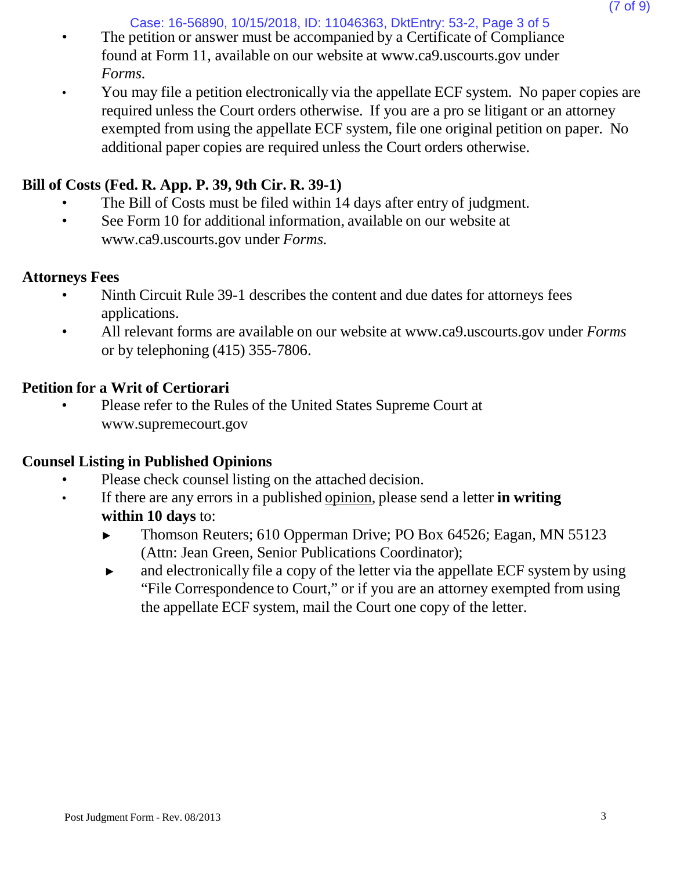Case: 16-56890, 10/15/2018, ID: 11046363, DktEntry: 53-2, Page 3 of 5

- The petition or answer must be accompanied by a Certificate of Compliance found at Form 11, available on our website [at www.ca9.uscourts.gov](http://www.ca9.uscourts.gov/) under *Forms.*
- You may file a petition electronically via the appellate ECF system. No paper copies are required unless the Court orders otherwise. If you are a pro se litigant or an attorney exempted from using the appellate ECF system, file one original petition on paper. No additional paper copies are required unless the Court orders otherwise.

# **Bill of Costs (Fed. R. App. P. 39, 9th Cir. R. 39-1)**

- The Bill of Costs must be filed within 14 days after entry of judgment.
- See Form 10 for addi[t](http://www.ca9.uscourts.gov/)ional information, available on our website at [www.ca9.uscourts.gov](http://www.ca9.uscourts.gov/) under *Forms.*

#### **Attorneys Fees**

- Ninth Circuit Rule 39-1 describes the content and due dates for attorneys fees applications.
- All relevant forms are available on our website at [www.ca9.uscourts.gov](http://www.ca9.uscourts.gov/) under *Forms* or by telephoning (415) 355-7806.

#### **Petition for a Writ of Certiorari**

• Please refer to the Rules of the United States Supreme Court a[t](http://www.supremecourt.gov/) [www.supremecourt.gov](http://www.supremecourt.gov/)

#### **Counsel Listing in Published Opinions**

- Please check counsel listing on the attached decision.
- If there are any errors in a published opinion, please send a letter **in writing within 10 days** to:
	- ► Thomson Reuters; 610 Opperman Drive; PO Box 64526; Eagan, MN 55123 (Attn: Jean Green, Senior Publications Coordinator);
	- ► and electronically file a copy of the letter via the appellate ECF system by using "File Correspondence to Court," or if you are an attorney exempted from using the appellate ECF system, mail the Court one copy of the letter.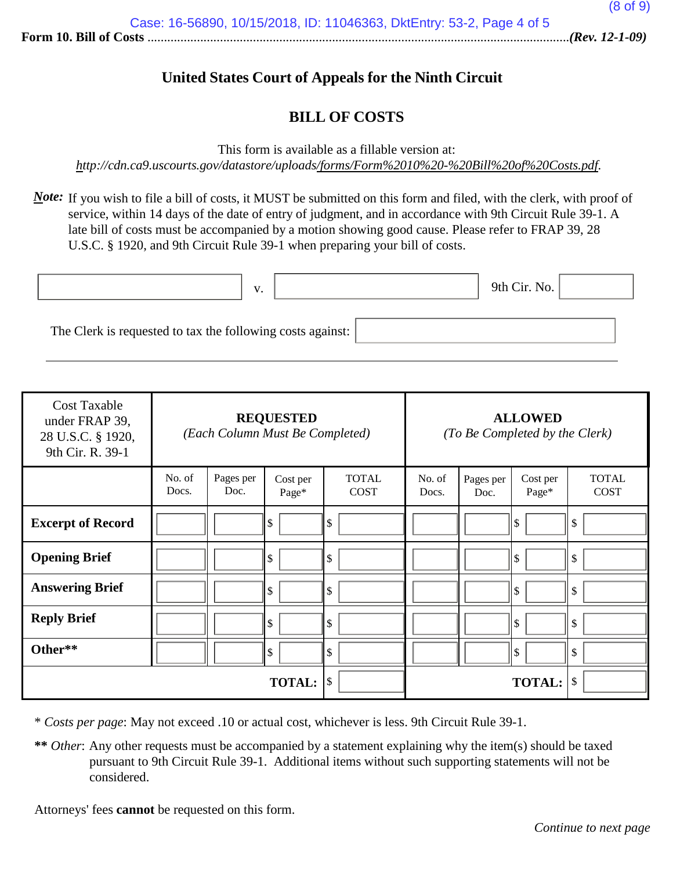#### **United States Court of Appeals for the Ninth Circuit**

#### **BILL OF COSTS**

This form is available as a fillable version at:

*<http://cdn.ca9.uscourts.gov/datastore/uploads/forms/Form%2010%20-%20Bill%20of%20Costs.pdf>*.

*Note*: If you wish to file a bill of costs, it MUST be submitted on this form and filed, with the clerk, with proof of service, within 14 days of the date of entry of judgment, and in accordance with 9th Circuit Rule 39-1. A late bill of costs must be accompanied by a motion showing good cause. Please refer to FRAP 39, 28 U.S.C. § 1920, and 9th Circuit Rule 39-1 when preparing your bill of costs.

|                                                            | $\mathbf{v}$ | 9th Cir. No. |  |
|------------------------------------------------------------|--------------|--------------|--|
| The Clerk is requested to tax the following costs against: |              |              |  |

| <b>Cost Taxable</b><br>under FRAP 39,<br>28 U.S.C. § 1920,<br>9th Cir. R. 39-1 | <b>REQUESTED</b><br>(Each Column Must Be Completed) |                   |                   |                             | <b>ALLOWED</b><br>(To Be Completed by the Clerk) |                   |                    |                             |
|--------------------------------------------------------------------------------|-----------------------------------------------------|-------------------|-------------------|-----------------------------|--------------------------------------------------|-------------------|--------------------|-----------------------------|
|                                                                                | No. of<br>Docs.                                     | Pages per<br>Doc. | Cost per<br>Page* | <b>TOTAL</b><br><b>COST</b> | No. of<br>Docs.                                  | Pages per<br>Doc. | Cost per<br>Page*  | <b>TOTAL</b><br><b>COST</b> |
| <b>Excerpt of Record</b>                                                       |                                                     |                   | \$                | \$                          |                                                  |                   | \$                 | \$                          |
| <b>Opening Brief</b>                                                           |                                                     |                   | \$                | \$                          |                                                  |                   | \$                 | \$                          |
| <b>Answering Brief</b>                                                         |                                                     |                   | \$                | \$                          |                                                  |                   | \$                 | \$                          |
| <b>Reply Brief</b>                                                             |                                                     |                   | \$                | \$                          |                                                  |                   | \$                 | \$                          |
| Other**                                                                        |                                                     |                   | \$                | \$                          |                                                  |                   | $\mathbf{\hat{s}}$ | \$                          |
|                                                                                |                                                     |                   | <b>TOTAL:</b>     | $\mathcal{S}$               |                                                  |                   | <b>TOTAL:</b>      | $\sqrt$                     |

\* *Costs per page*: May not exceed .10 or actual cost, whichever is less. 9th Circuit Rule 39-1.

**\*\*** *Other*: Any other requests must be accompanied by a statement explaining why the item(s) should be taxed pursuant to 9th Circuit Rule 39-1. Additional items without such supporting statements will not be considered.

Attorneys' fees **cannot** be requested on this form.